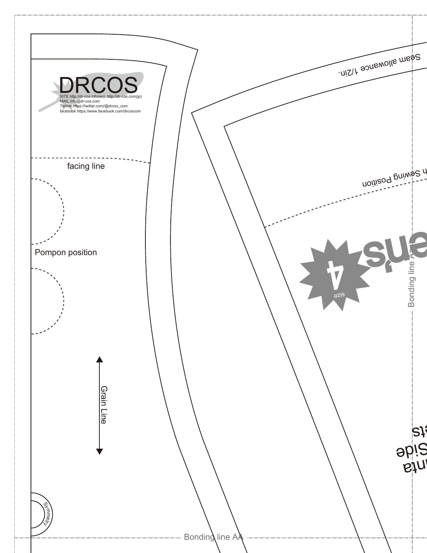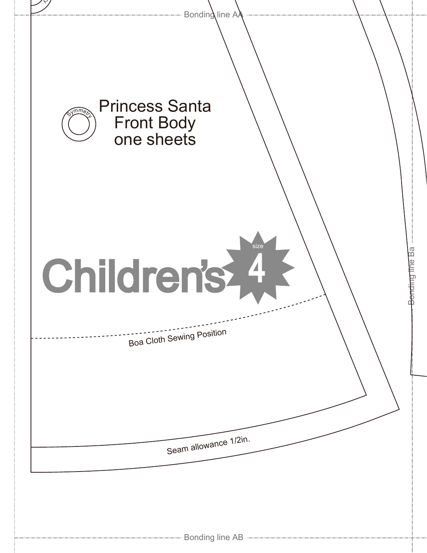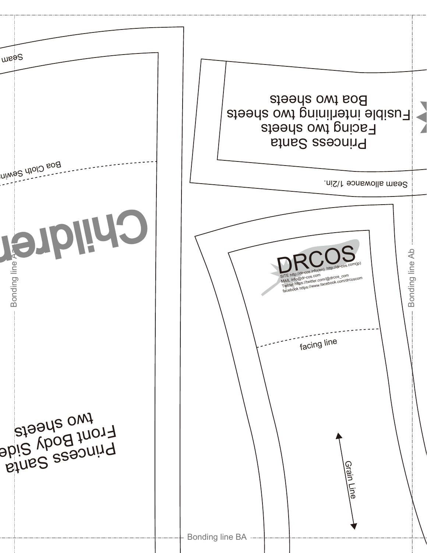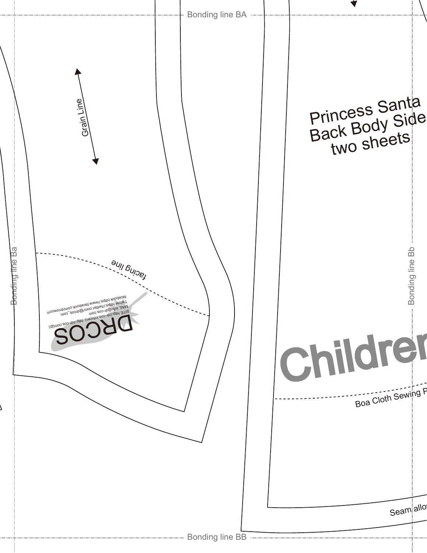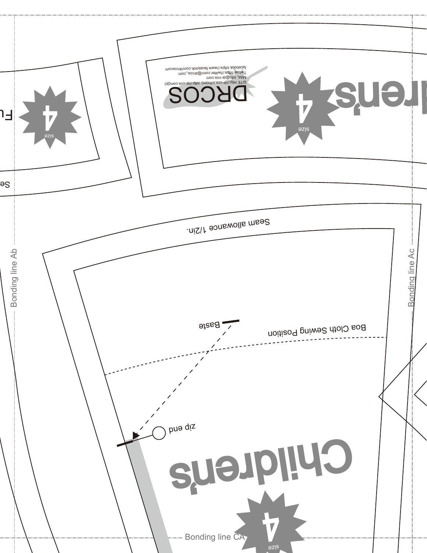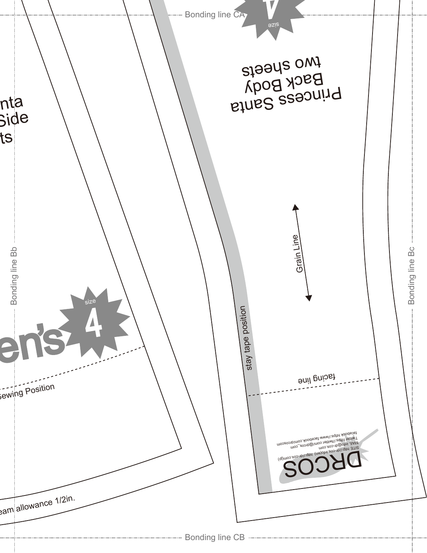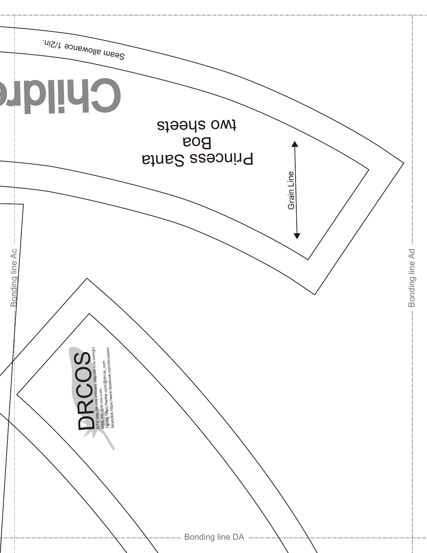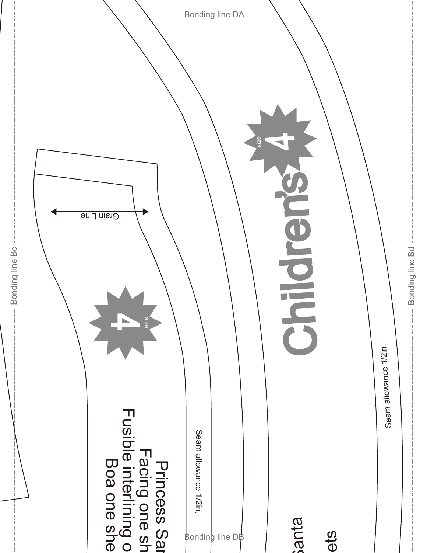